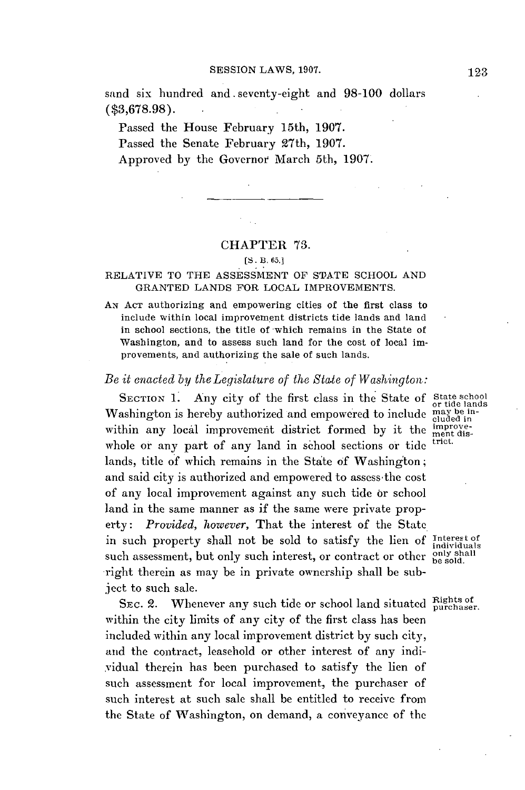sand six hundred and. seventy-eight and **98-100** dollars **(\$3,678.98).**

Passed the House February 15th, **1907.** Passed the Senate February 27th, **1907.** Approved **by** the Governor March 5th, **1907.**

## CHAPTER **73.**

## **[S.** B. **65.]**

## RELATIVE TO THE **ASSESSMENT** OF **STATE SCHOOL AND GRANTED LANDS** FOR **LOCAL** IMPROVEMENTS.

AN **ACT** authorizing and empowering cities of the first class to include within local improvement districts tide lands and land in school sections, the title of which remains in the State of Washington, and to assess such land for the cost of local improvements, and authorizing the sale of such lands.

## *Be it enacted by the Legislature of the State of Washington:*

SECTION 1. Any city of the first class in the State of State school Washington is hereby authorized and empowered to include  $\frac{\text{may be in-}}{\text{cduced in}}$ within any local improvement district formed by it the improvewhole or any part of any land in school sections or tide lands, title **of** which remains in the State **of** Washington; and said city is authorized and empowered to assess-the cost of any local improvement against any such tide or school land in the same manner as if the same were private property: *Provided, however,* That the interest of the State in such property shall not be sold to satisfy the lien of Interest of such assessment, but only such interest, or contract or other  $\frac{\text{only shall}}{\text{be sold}}$ right therein as may be in private ownership shall be subject to such sale.

SEC. 2. Whenever any such tide or school land situated Bights of within the city limits of any city of the first class has been included within any local improvement district **by** such city, and the contract, leasehold or other interest of any individual therein has been purchased to satisfy the lien of such assessment for local improvement, the purchaser of such interest at such sale shall be entitled to receive from the State of Washington, on demand, a conveyance of the